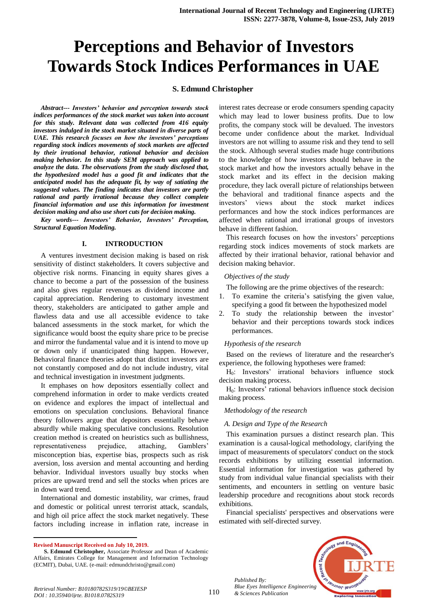# **Perceptions and Behavior of Investors Towards Stock Indices Performances in UAE**

## **S. Edmund Christopher**

*Abstract--- Investors' behavior and perception towards stock indices performances of the stock market was taken into account for this study. Relevant data was collected from 416 equity investors indulged in the stock market situated in diverse parts of UAE. This research focuses on how the investors' perceptions regarding stock indices movements of stock markets are affected by their irrational behavior, rational behavior and decision making behavior. In this study SEM approach was applied to analyze the data. The observations from the study disclosed that, the hypothesized model has a good fit and indicates that the anticipated model has the adequate fit, by way of satiating the suggested values. The finding indicates that investors are partly rational and partly irrational because they collect complete financial information and use this information for investment decision making and also use short cuts for decision making.* 

*Key words--- Investors' Behavior, Investors' Perception, Structural Equation Modeling.*

#### **I. INTRODUCTION**

A ventures investment decision making is based on risk sensitivity of distinct stakeholders. It covers subjective and objective risk norms. Financing in equity shares gives a chance to become a part of the possession of the business and also gives regular revenues as dividend income and capital appreciation. Rendering to customary investment theory, stakeholders are anticipated to gather ample and flawless data and use all accessible evidence to take balanced assessments in the stock market, for which the significance would boost the equity share price to be precise and mirror the fundamental value and it is intend to move up or down only if unanticipated thing happen. However, Behavioral finance theories adopt that distinct investors are not constantly composed and do not include industry, vital and technical investigation in investment judgments.

It emphases on how depositors essentially collect and comprehend information in order to make verdicts created on evidence and explores the impact of intellectual and emotions on speculation conclusions. Behavioral finance theory followers argue that depositors essentially behave absurdly while making speculative conclusions. Resolution creation method is created on heuristics such as bullishness, representativeness prejudice, attaching, Gamblers' misconception bias, expertise bias, prospects such as risk aversion, loss aversion and mental accounting and herding behavior. Individual investors usually buy stocks when prices are upward trend and sell the stocks when prices are in down ward trend.

International and domestic instability, war crimes, fraud and domestic or political unrest terrorist attack, scandals, and high oil price affect the stock market negatively. These factors including increase in inflation rate, increase in

**Revised Manuscript Received on July 10, 2019.**

 $\ddot{\phantom{a}}$ 

interest rates decrease or erode consumers spending capacity which may lead to lower business profits. Due to low profits, the company stock will be devalued. The investors become under confidence about the market. Individual investors are not willing to assume risk and they tend to sell the stock. Although several studies made huge contributions to the knowledge of how investors should behave in the stock market and how the investors actually behave in the stock market and its effect in the decision making procedure, they lack overall picture of relationships between the behavioral and traditional finance aspects and the investors' views about the stock market indices performances and how the stock indices performances are affected when rational and irrational groups of investors behave in different fashion.

This research focuses on how the investors' perceptions regarding stock indices movements of stock markets are affected by their irrational behavior, rational behavior and decision making behavior.

#### *Objectives of the study*

The following are the prime objectives of the research:

- 1. To examine the criteria's satisfying the given value, specifying a good fit between the hypothesized model
- 2. To study the relationship between the investor' behavior and their perceptions towards stock indices performances.

## *Hypothesis of the research*

Based on the reviews of literature and the researcher's experience, the following hypotheses were framed:

H0: Investors' irrational behaviors influence stock decision making process.

H0: Investors' rational behaviors influence stock decision making process.

#### *Methodology of the research*

#### *A. Design and Type of the Research*

This examination pursues a distinct research plan. This examination is a causal-logical methodology, clarifying the impact of measurements of speculators' conduct on the stock records exhibitions by utilizing essential information. Essential information for investigation was gathered by study from individual value financial specialists with their sentiments, and encounters in settling on venture basic leadership procedure and recognitions about stock records exhibitions.

Financial specialists' perspectives and observations were estimated with self-directed survey.



*Published By: Blue Eyes Intelligence Engineering & Sciences Publication* 

**S. Edmund Christopher,** Associate Professor and Dean of Academic Affairs, Emirates College for Management and Information Technology (ECMIT), Dubai, UAE. (e-mail: edmundchristo@gmail.com)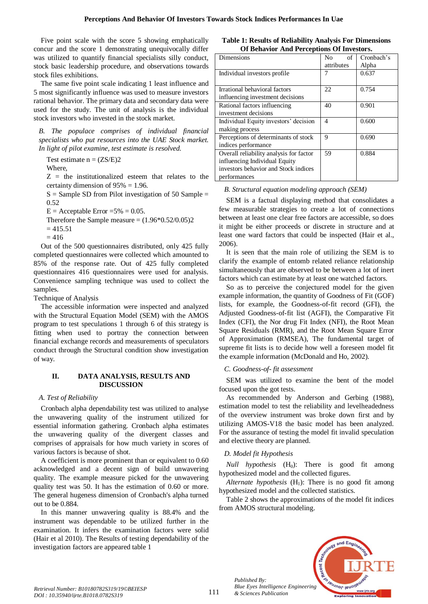Five point scale with the score 5 showing emphatically concur and the score 1 demonstrating unequivocally differ was utilized to quantify financial specialists silly conduct, stock basic leadership procedure, and observations towards stock files exhibitions.

The same five point scale indicating 1 least influence and 5 most significantly influence was used to measure investors rational behavior. The primary data and secondary data were used for the study. The unit of analysis is the individual stock investors who invested in the stock market.

*B. The populace comprises of individual financial specialists who put resources into the UAE Stock market. In light of pilot examine, test estimate is resolved.* 

Test estimate  $n = (ZS/E)2$ 

Where,

 $Z =$  the institutionalized esteem that relates to the certainty dimension of  $95\% = 1.96$ .

 $S =$  Sample SD from Pilot investigation of 50 Sample  $=$ 0.52

 $E =$  Acceptable Error = 5% = 0.05.

Therefore the Sample measure  $=(1.96*0.52/0.05)2$ 

 $= 415.51$ 

 $= 416$ 

Out of the 500 questionnaires distributed, only 425 fully completed questionnaires were collected which amounted to 85% of the response rate. Out of 425 fully completed questionnaires 416 questionnaires were used for analysis. Convenience sampling technique was used to collect the samples.

Technique of Analysis

The accessible information were inspected and analyzed with the Structural Equation Model (SEM) with the AMOS program to test speculations 1 through 6 of this strategy is fitting when used to portray the connection between financial exchange records and measurements of speculators conduct through the Structural condition show investigation of way.

# **II. DATA ANALYSIS, RESULTS AND DISCUSSION**

## *A. Test of Reliability*

Cronbach alpha dependability test was utilized to analyse the unwavering quality of the instrument utilized for essential information gathering. Cronbach alpha estimates the unwavering quality of the divergent classes and comprises of appraisals for how much variety in scores of various factors is because of shot.

A coefficient is more prominent than or equivalent to 0.60 acknowledged and a decent sign of build unwavering quality. The example measure picked for the unwavering quality test was 50. It has the estimation of 0.60 or more. The general hugeness dimension of Cronbach's alpha turned out to be 0.884.

In this manner unwavering quality is 88.4% and the instrument was dependable to be utilized further in the examination. It infers the examination factors were solid (Hair et al 2010). The Results of testing dependability of the investigation factors are appeared table 1

| <b>Table 1: Results of Reliability Analysis For Dimensions</b> |  |  |
|----------------------------------------------------------------|--|--|
| Of Behavior And Perceptions Of Investors.                      |  |  |

| д.                                      |            |            |
|-----------------------------------------|------------|------------|
| Dimensions                              | of<br>No   | Cronbach's |
|                                         | attributes | Alpha      |
| Individual investors profile            |            | 0.637      |
|                                         |            |            |
| Irrational behavioral factors           | 22         | 0.754      |
| influencing investment decisions        |            |            |
| Rational factors influencing            | 40         | 0.901      |
| investment decisions                    |            |            |
| Individual Equity investors' decision   | 4          | 0.600      |
| making process                          |            |            |
| Perceptions of determinants of stock    | 9          | 0.690      |
| indices performance                     |            |            |
| Overall reliability analysis for factor | 59         | 0.884      |
| influencing Individual Equity           |            |            |
| investors behavior and Stock indices    |            |            |
| performances                            |            |            |

# *B. Structural equation modeling approach (SEM)*

SEM is a factual displaying method that consolidates a few measurable strategies to create a lot of connections between at least one clear free factors are accessible, so does it might be either proceeds or discrete in structure and at least one ward factors that could be inspected (Hair et al., 2006).

It is seen that the main role of utilizing the SEM is to clarify the example of entomb related reliance relationship simultaneously that are observed to be between a lot of inert factors which can estimate by at least one watched factors.

So as to perceive the conjectured model for the given example information, the quantity of Goodness of Fit (GOF) lists, for example, the Goodness-of-fit record (GFI), the Adjusted Goodness-of-fit list (AGFI), the Comparative Fit Index (CFI), the Nor drug Fit Index (NFI), the Root Mean Square Residuals (RMR), and the Root Mean Square Error of Approximation (RMSEA), The fundamental target of supreme fit lists is to decide how well a foreseen model fit the example information (McDonald and Ho, 2002).

# *C. Goodness-of- fit assessment*

SEM was utilized to examine the bent of the model focused upon the got tests.

As recommended by Anderson and Gerbing (1988), estimation model to test the reliability and levelheadedness of the overview instrument was broke down first and by utilizing AMOS-V18 the basic model has been analyzed. For the assurance of testing the model fit invalid speculation and elective theory are planned.

# *D. Model fit Hypothesis*

*Published By:*

*& Sciences Publication* 

*Null hypothesis*  $(H_0)$ : There is good fit among hypothesized model and the collected figures.

Alternate hypothesis (H<sub>1</sub>): There is no good fit among hypothesized model and the collected statistics.

Table 2 shows the approximations of the model fit indices from AMOS structural modeling.

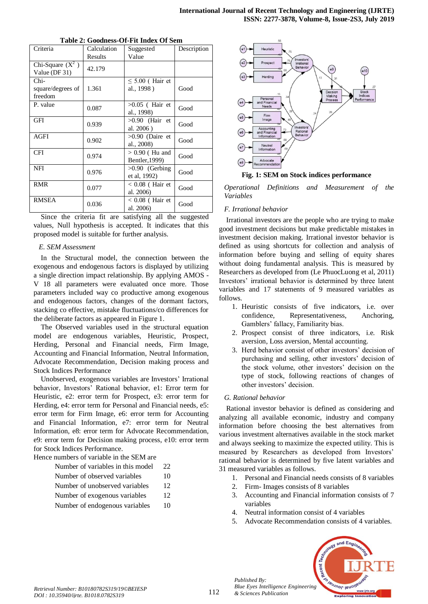| Table 2. Goodhess-Of-The Higes Of Behl |                          |                                    |             |  |  |  |  |
|----------------------------------------|--------------------------|------------------------------------|-------------|--|--|--|--|
| Criteria                               | Calculation<br>Suggested |                                    | Description |  |  |  |  |
|                                        | Results                  | Value                              |             |  |  |  |  |
| Chi-Square $(X^2)$<br>Value (DF 31)    | 42.179                   |                                    |             |  |  |  |  |
| $Chi-$<br>square/degrees of<br>freedom | 1.361                    | $\leq$ 5.00 (Hair et<br>al., 1998) | Good        |  |  |  |  |
| P. value                               | 0.087                    | $>0.05$ (Hair et<br>al., 1998)     | Good        |  |  |  |  |
| GFI                                    | 0.939                    | $>0.90$ (Hair et<br>al. 2006)      | Good        |  |  |  |  |
| <b>AGFI</b>                            | 0.902                    | $>0.90$ (Daire et<br>al., 2008)    | Good        |  |  |  |  |
| <b>CFI</b>                             | 0.974                    | $> 0.90$ (Hu and<br>Bentler, 1999) | Good        |  |  |  |  |
| NFI                                    | 0.976                    | $>0.90$ (Gerbing<br>et al, 1992)   | Good        |  |  |  |  |
| <b>RMR</b>                             | 0.077                    | $< 0.08$ (Hair et<br>al. 2006)     | Good        |  |  |  |  |
| <b>RMSEA</b>                           | 0.036                    | $< 0.08$ (Hair et<br>al. 2006)     | Good        |  |  |  |  |

Since the criteria fit are satisfying all the suggested values, Null hypothesis is accepted. It indicates that this proposed model is suitable for further analysis.

#### *E. SEM Assessment*

In the Structural model, the connection between the exogenous and endogenous factors is displayed by utilizing a single direction impact relationship. By applying AMOS - V 18 all parameters were evaluated once more. Those parameters included way co productive among exogenous and endogenous factors, changes of the dormant factors, stacking co effective, mistake fluctuations/co differences for the deliberate factors as appeared in Figure 1.

The Observed variables used in the structural equation model are endogenous variables, Heuristic, Prospect, Herding, Personal and Financial needs, Firm Image, Accounting and Financial Information, Neutral Information, Advocate Recommendation, Decision making process and Stock Indices Performance

Unobserved, exogenous variables are Investors' Irrational behavior, Investors' Rational behavior, e1: Error term for Heuristic, e2: error term for Prospect, e3: error term for Herding, e4: error term for Personal and Financial needs, e5: error term for Firm Image, e6: error term for Accounting and Financial Information, e7: error term for Neutral Information, e8: error term for Advocate Recommendation, e9: error term for Decision making process, e10: error term for Stock Indices Performance.

Hence numbers of variable in the SEM are

| Number of variables in this model | 22                   |
|-----------------------------------|----------------------|
| Number of observed variables      | 10                   |
| Number of unobserved variables    | 12                   |
| $\mathbf{v}$                      | $\ddot{\phantom{1}}$ |

- Number of exogenous variables 12
- Number of endogenous variables 10



**Fig. 1: SEM on Stock indices performance**

*Operational Definitions and Measurement of the Variables*

## *F. Irrational behavior*

Irrational investors are the people who are trying to make good investment decisions but make predictable mistakes in investment decision making. Irrational investor behavior is defined as using shortcuts for collection and analysis of information before buying and selling of equity shares without doing fundamental analysis. This is measured by Researchers as developed from (Le PhuocLuong et al, 2011) Investors' irrational behavior is determined by three latent variables and 17 statements of 9 measured variables as follows.

- 1. Heuristic consists of five indicators, i.e. over confidence, Representativeness, Anchoring, Gamblers' fallacy, Familiarity bias.
- 2. Prospect consist of three indicators, i.e. Risk aversion, Loss aversion, Mental accounting.
- 3. Herd behavior consist of other investors' decision of purchasing and selling, other investors' decision of the stock volume, other investors' decision on the type of stock, following reactions of changes of other investors' decision.

## *G. Rational behavior*

Rational investor behavior is defined as considering and analyzing all available economic, industry and company information before choosing the best alternatives from various investment alternatives available in the stock market and always seeking to maximize the expected utility. This is measured by Researchers as developed from Investors' rational behavior is determined by five latent variables and 31 measured variables as follows.

- 1. Personal and Financial needs consists of 8 variables
- 2. Firm- Images consists of 8 variables
- 3. Accounting and Financial information consists of 7 variables
- 4. Neutral information consist of 4 variables
- 5. Advocate Recommendation consists of 4 variables.



*Published By:*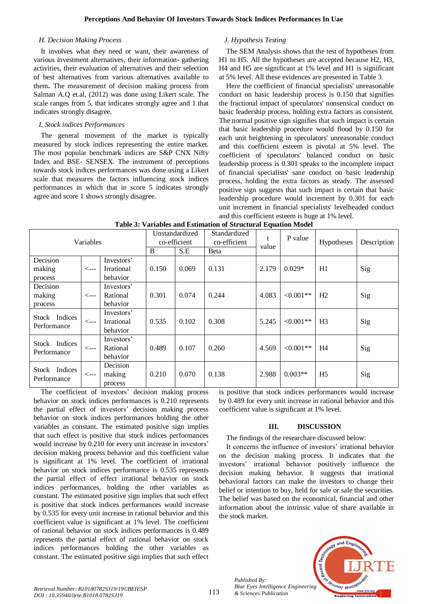#### *H. Decision Making Process*

It involves what they need or want, their awareness of various investment alternatives, their information- gathering activities, their evaluation of alternatives and their selection of best alternatives from various alternatives available to them**.** The measurement of decision making process from Salman A.Q et.al, (2012) was done using Likert scale. The scale ranges from 5, that indicates strongly agree and 1 that indicates strongly disagree.

#### *I. Stock indices Performances*

The general movement of the market is typically measured by stock indices representing the entire market. The most popular benchmark indices are S&P CNX Nifty Index and BSE- SENSEX. The instrument of perceptions towards stock indices performances was done using a Likert scale that measures the factors influencing stock indices performances in which that in score 5 indicates strongly agree and score 1 shows strongly disagree.

# *J. Hypothesis Testing*

The SEM Analysis shows that the test of hypotheses from H1 to H5. All the hypotheses are accepted because H2, H3, H4 and H5 are significant at 1% level and H1 is significant at 5% level. All these evidences are presented in Table 3.

Here the coefficient of financial specialists' unreasonable conduct on basic leadership process is 0.150 that signifies the fractional impact of speculators' nonsensical conduct on basic leadership process, holding extra factors as consistent. The normal positive sign signifies that such impact is certain that basic leadership procedure would flood by 0.150 for each unit heightening in speculators' unreasonable conduct and this coefficient esteem is pivotal at 5% level. The coefficient of speculators' balanced conduct on basic leadership process is 0.301 speaks to the incomplete impact of financial specialists' sane conduct on basic leadership process, holding the extra factors as steady. The assessed positive sign suggests that such impact is certain that basic leadership procedure would increment by 0.301 for each unit increment in financial specialists' levelheaded conduct and this coefficient esteem is huge at 1% level.

| Variables                    |                  | Unstandardized<br>co-efficient |       | Standardized | P value<br>t<br>value |       | Hypotheses   | Description    |     |
|------------------------------|------------------|--------------------------------|-------|--------------|-----------------------|-------|--------------|----------------|-----|
|                              |                  |                                |       | co-efficient |                       |       |              |                |     |
|                              |                  | B                              | S.E   | Beta         |                       |       |              |                |     |
| Decision                     |                  | Investors'                     |       |              |                       |       |              |                |     |
| making                       | $\leftarrow$ --- | Irrational                     | 0.150 | 0.069        | 0.131                 | 2.179 | $0.029*$     | H1             | Sig |
| process                      |                  | behavior                       |       |              |                       |       |              |                |     |
| Decision                     |                  | Investors'                     |       |              |                       |       |              |                |     |
| making                       | $\leftarrow$ --- | Rational                       | 0.301 | 0.074        | 0.244                 | 4.083 | $< 0.001$ ** | H2             | Sig |
| process                      |                  | behavior                       |       |              |                       |       |              |                |     |
|                              |                  | Investors'                     |       |              |                       |       |              |                |     |
| Stock Indices<br>Performance | $\leftarrow$ --- | Irrational                     | 0.535 | 0.102        | 0.308                 | 5.245 | $< 0.001**$  | H <sub>3</sub> | Sig |
|                              |                  | behavior                       |       |              |                       |       |              |                |     |
|                              |                  | Investors'                     |       |              |                       |       |              |                |     |
| Stock Indices<br>Performance | $\leftarrow$ --- | Rational                       | 0.489 | 0.107        | 0.260                 | 4.569 | $< 0.001$ ** | H4             | Sig |
|                              |                  | behavior                       |       |              |                       |       |              |                |     |
| Stock Indices<br>Performance |                  | Decision                       |       |              |                       |       |              |                |     |
|                              | $\leftarrow$ --- | making                         | 0.210 | 0.070        | 0.138                 | 2.988 | $0.003**$    | H <sub>5</sub> | Sig |
|                              |                  | process                        |       |              |                       |       |              |                |     |

| Table 3: Variables and Estimation of Structural Equation Model |  |
|----------------------------------------------------------------|--|
|                                                                |  |

The coefficient of investors' decision making process behavior on stock indices performances is 0.210 represents the partial effect of investors' decision making process behavior on stock indices performances holding the other variables as constant. The estimated positive sign implies that such effect is positive that stock indices performances would increase by 0.210 for every unit increase in investors' decision making process behavior and this coefficient value is significant at 1% level. The coefficient of irrational behavior on stock indices performance is 0.535 represents the partial effect of effect irrational behavior on stock indices performances, holding the other variables as constant. The estimated positive sign implies that such effect is positive that stock indices performances would increase by 0.535 for every unit increase in rational behavior and this coefficient value is significant at 1% level. The coefficient of rational behavior on stock indices performances is 0.489 represents the partial effect of rational behavior on stock indices performances holding the other variables as constant. The estimated positive sign implies that such effect

is positive that stock indices performances would increase by 0.489 for every unit increase in rational behavior and this coefficient value is significant at 1% level.

# **III. DISCUSSION**

## The findings of the researchare discussed below:

It concerns the influence of investors' irrational behavior on the decision making process. It indicates that the investors' irrational behavior positively influence the decision making behavior. It suggests that irrational behavioral factors can make the investors to change their belief or intention to buy, held for sale or sale the securities. The belief was based on the economical, financial and other information about the intrinsic value of share available in the stock market.



*Published By:*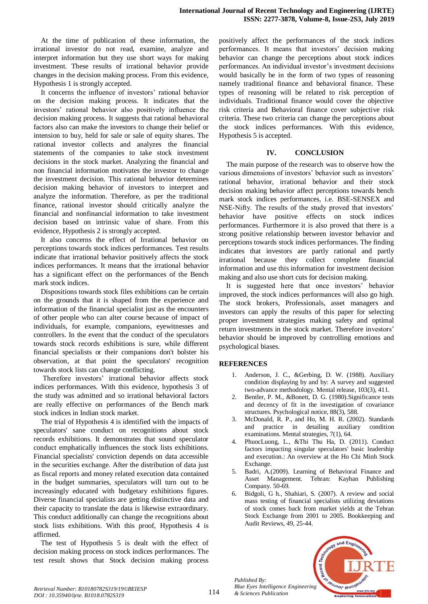At the time of publication of these information, the irrational investor do not read, examine, analyze and interpret information but they use short ways for making investment. These results of irrational behavior provide changes in the decision making process. From this evidence, Hypothesis 1 is strongly accepted.

It concerns the influence of investors' rational behavior on the decision making process. It indicates that the investors' rational behavior also positively influence the decision making process. It suggests that rational behavioral factors also can make the investors to change their belief or intension to buy, held for sale or sale of equity shares. The rational investor collects and analyzes the financial statements of the companies to take stock investment decisions in the stock market. Analyzing the financial and non financial information motivates the investor to change the investment decision. This rational behavior determines decision making behavior of investors to interpret and analyze the information. Therefore, as per the traditional finance, rational investor should critically analyze the financial and nonfinancial information to take investment decision based on intrinsic value of share. From this evidence, Hypothesis 2 is strongly accepted.

It also concerns the effect of Irrational behavior on perceptions towards stock indices performances. Test results indicate that irrational behavior positively affects the stock indices performances. It means that the irrational behavior has a significant effect on the performances of the Bench mark stock indices.

Dispositions towards stock files exhibitions can be certain on the grounds that it is shaped from the experience and information of the financial specialist just as the encounters of other people who can alter course because of impact of individuals, for example, companions, eyewitnesses and controllers. In the event that the conduct of the speculators towards stock records exhibitions is sure, while different financial specialists or their companions don't bolster his observation, at that point the speculators' recognition towards stock lists can change conflicting.

Therefore investors' irrational behavior affects stock indices performances. With this evidence, hypothesis 3 of the study was admitted and so irrational behavioral factors are really effective on performances of the Bench mark stock indices in Indian stock market.

The trial of Hypothesis 4 is identified with the impacts of speculators' sane conduct on recognitions about stock records exhibitions. It demonstrates that sound speculator conduct emphatically influences the stock lists exhibitions. Financial specialists' conviction depends on data accessible in the securities exchange. After the distribution of data just as fiscal reports and money related execution data contained in the budget summaries, speculators will turn out to be increasingly educated with budgetary exhibitions figures. Diverse financial specialists are getting distinctive data and their capacity to translate the data is likewise extraordinary. This conduct additionally can change the recognitions about stock lists exhibitions. With this proof, Hypothesis 4 is affirmed.

The test of Hypothesis 5 is dealt with the effect of decision making process on stock indices performances. The test result shows that Stock decision making process

positively affect the performances of the stock indices performances. It means that investors' decision making behavior can change the perceptions about stock indices performances. An individual investor's investment decisions would basically be in the form of two types of reasoning namely traditional finance and behavioral finance. These types of reasoning will be related to risk perception of individuals. Traditional finance would cover the objective risk criteria and Behavioral finance cover subjective risk criteria. These two criteria can change the perceptions about the stock indices performances. With this evidence, Hypothesis 5 is accepted.

# **IV. CONCLUSION**

The main purpose of the research was to observe how the various dimensions of investors' behavior such as investors' rational behavior, irrational behavior and their stock decision making behavior affect perceptions towards bench mark stock indices performances, i.e. BSE-SENSEX and NSE-Nifty. The results of the study proved that investors' behavior have positive effects on stock indices performances. Furthermore it is also proved that there is a strong positive relationship between investor behavior and perceptions towards stock indices performances. The finding indicates that investors are partly rational and partly irrational because they collect complete financial information and use this information for investment decision making and also use short cuts for decision making.

It is suggested here that once investors' behavior improved, the stock indices performances will also go high. The stock brokers, Professionals, asset managers and investors can apply the results of this paper for selecting proper investment strategies making safety and optimal return investments in the stock market. Therefore investors' behavior should be improved by controlling emotions and psychological biases.

# **REFERENCES**

- 1. Anderson, J. C., &Gerbing, D. W. (1988). Auxiliary condition displaying by and by: A survey and suggested two-advance methodology. Mental release, 103(3), 411.
- Bentler, P. M., &Bonett, D. G. (1980). Significance tests and decency of fit in the investigation of covariance structures. Psychological notice, 88(3), 588.
- 3. McDonald, R. P., and Ho, M. H. R. (2002). Standards and practice in detailing auxiliary condition examinations. Mental strategies, 7(1), 64.
- 4. PhuocLuong, L., &Thi Thu Ha, D. (2011). Conduct factors impacting singular speculators' basic leadership and execution.: An overview at the Ho Chi Minh Stock Exchange.
- 5. Badri, A.(2009). Learning of Behavioral Finance and Asset Management. Tehran: Kayhan Publishing Company. 50-69.
- 6. Bidgoli, G h., Shahiari, S. (2007). A review and social mass testing of financial specialists utilizing deviations of stock comes back from market yields at the Tehran Stock Exchange from 2001 to 2005. Bookkeeping and Audit Reviews, 49, 25-44.



*Published By:*